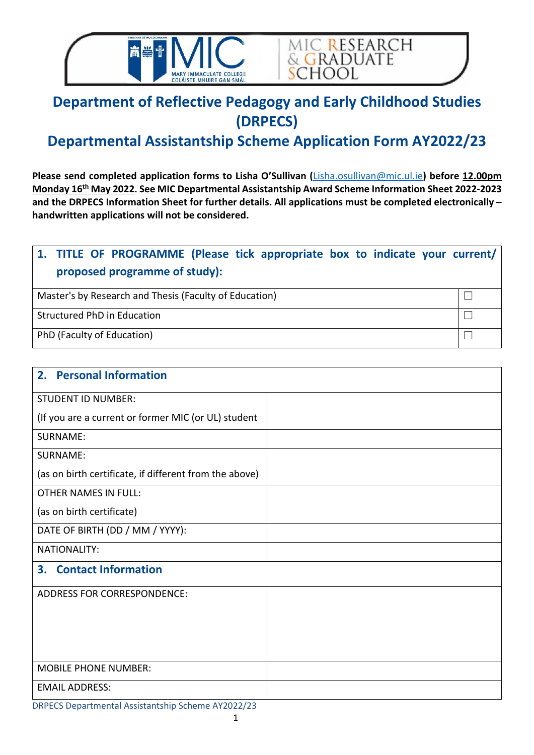



# **Department of Reflective Pedagogy and Early Childhood Studies (DRPECS)**

## **Departmental Assistantship Scheme Application Form AY2022/23**

**Please send completed application forms to Lisha O'Sullivan (**[Lisha.osullivan@mic.ul.ie](mailto:Lisha.osullivan@mic.ul.ie)**) before 12.00pm Monday 16th May 2022. See MIC Departmental Assistantship Award Scheme Information Sheet 2022-2023 and the DRPECS Information Sheet for further details. All applications must be completed electronically – handwritten applications will not be considered.** 

### **1. TITLE OF PROGRAMME (Please tick appropriate box to indicate your current/ proposed programme of study):**

Master's by Research and Thesis (Faculty of Education)  $\Box$ 

Structured PhD in Education ◯  $□$ 

PhD (Faculty of Education)  $\Box$ 

| 2. Personal Information                                |  |
|--------------------------------------------------------|--|
| <b>STUDENT ID NUMBER:</b>                              |  |
| (If you are a current or former MIC (or UL) student    |  |
| <b>SURNAME:</b>                                        |  |
| <b>SURNAME:</b>                                        |  |
| (as on birth certificate, if different from the above) |  |
| <b>OTHER NAMES IN FULL:</b>                            |  |
| (as on birth certificate)                              |  |
| DATE OF BIRTH (DD / MM / YYYY):                        |  |
| <b>NATIONALITY:</b>                                    |  |
| <b>3. Contact Information</b>                          |  |
| <b>ADDRESS FOR CORRESPONDENCE:</b>                     |  |
|                                                        |  |
|                                                        |  |
|                                                        |  |
| <b>MOBILE PHONE NUMBER:</b>                            |  |
| <b>EMAIL ADDRESS:</b>                                  |  |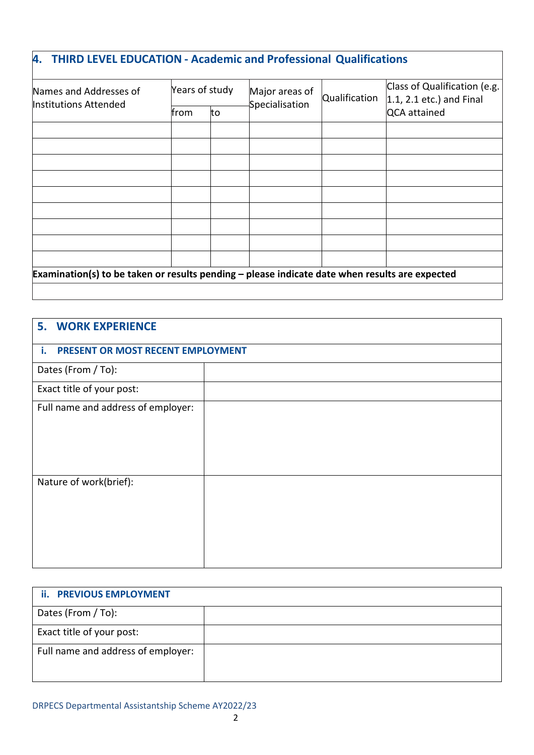### **4. THIRD LEVEL EDUCATION - Academic and Professional Qualifications**

| Names and Addresses of<br>Institutions Attended                                                  |             | Years of study | Major areas of<br>Specialisation | Qualification | Class of Qualification (e.g.<br>$\vert 1.1, 2.1$ etc.) and Final<br>QCA attained |
|--------------------------------------------------------------------------------------------------|-------------|----------------|----------------------------------|---------------|----------------------------------------------------------------------------------|
|                                                                                                  | <b>from</b> | to             |                                  |               |                                                                                  |
|                                                                                                  |             |                |                                  |               |                                                                                  |
|                                                                                                  |             |                |                                  |               |                                                                                  |
|                                                                                                  |             |                |                                  |               |                                                                                  |
|                                                                                                  |             |                |                                  |               |                                                                                  |
|                                                                                                  |             |                |                                  |               |                                                                                  |
|                                                                                                  |             |                |                                  |               |                                                                                  |
|                                                                                                  |             |                |                                  |               |                                                                                  |
|                                                                                                  |             |                |                                  |               |                                                                                  |
|                                                                                                  |             |                |                                  |               |                                                                                  |
| Examination(s) to be taken or results pending $-$ please indicate date when results are expected |             |                |                                  |               |                                                                                  |

| <b>5. WORK EXPERIENCE</b>               |  |
|-----------------------------------------|--|
| PRESENT OR MOST RECENT EMPLOYMENT<br>i. |  |
| Dates (From / To):                      |  |
| Exact title of your post:               |  |
| Full name and address of employer:      |  |
|                                         |  |
|                                         |  |
| Nature of work(brief):                  |  |

| <b>ii. PREVIOUS EMPLOYMENT</b>     |  |
|------------------------------------|--|
| Dates (From / To):                 |  |
| Exact title of your post:          |  |
| Full name and address of employer: |  |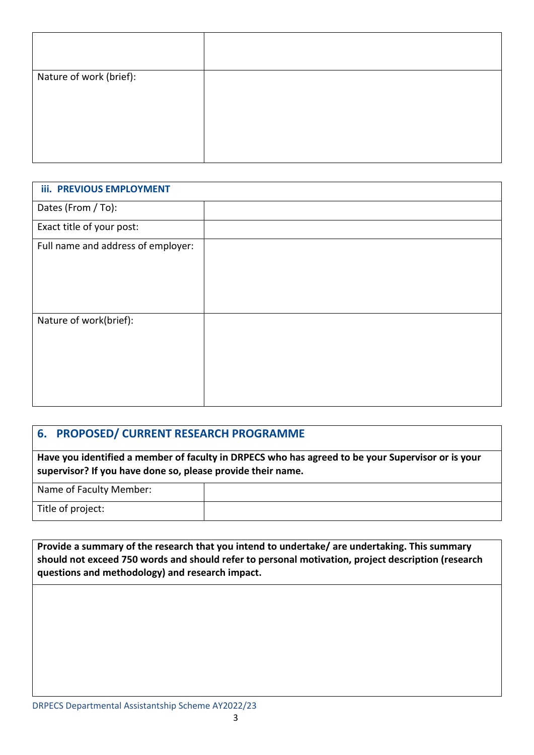| Nature of work (brief): |  |
|-------------------------|--|
|                         |  |
|                         |  |
|                         |  |
|                         |  |
|                         |  |

| <b>iii. PREVIOUS EMPLOYMENT</b>    |  |
|------------------------------------|--|
| Dates (From / To):                 |  |
| Exact title of your post:          |  |
| Full name and address of employer: |  |
| Nature of work(brief):             |  |

#### **6. PROPOSED/ CURRENT RESEARCH PROGRAMME**

**Have you identified a member of faculty in DRPECS who has agreed to be your Supervisor or is your supervisor? If you have done so, please provide their name.**

Name of Faculty Member:

Title of project:

**Provide a summary of the research that you intend to undertake/ are undertaking. This summary should not exceed 750 words and should refer to personal motivation, project description (research questions and methodology) and research impact.**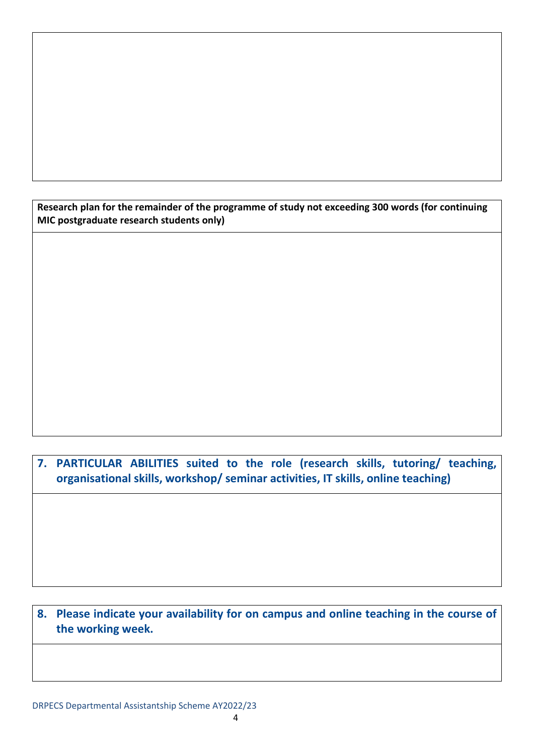**Research plan for the remainder of the programme of study not exceeding 300 words (for continuing MIC postgraduate research students only)**

**7. PARTICULAR ABILITIES suited to the role (research skills, tutoring/ teaching, organisational skills, workshop/ seminar activities, IT skills, online teaching)**

**8. Please indicate your availability for on campus and online teaching in the course of the working week.**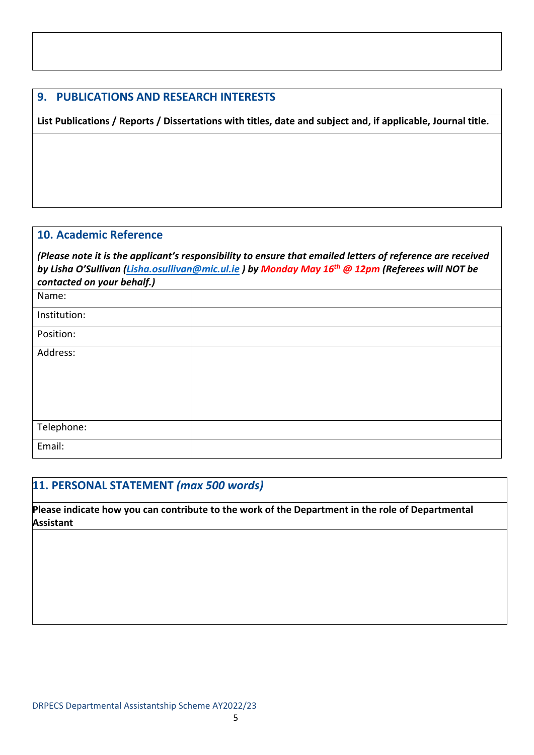#### **9. PUBLICATIONS AND RESEARCH INTERESTS**

**List Publications / Reports / Dissertations with titles, date and subject and, if applicable, Journal title.**

#### **10. Academic Reference**

*(Please note it is the applicant's responsibility to ensure that emailed letters of reference are received by Lisha O'Sullivan [\(Lisha.osullivan@mic.ul.ie](mailto:Lisha.osullivan@mic.ul.ie) ) by Monday May 16th @ 12pm (Referees will NOT be contacted on your behalf.)* 

| Name:        |  |
|--------------|--|
| Institution: |  |
| Position:    |  |
| Address:     |  |
|              |  |
|              |  |
|              |  |
| Telephone:   |  |
| Email:       |  |

#### **11. PERSONAL STATEMENT** *(max 500 words)*

**Please indicate how you can contribute to the work of the Department in the role of Departmental Assistant**